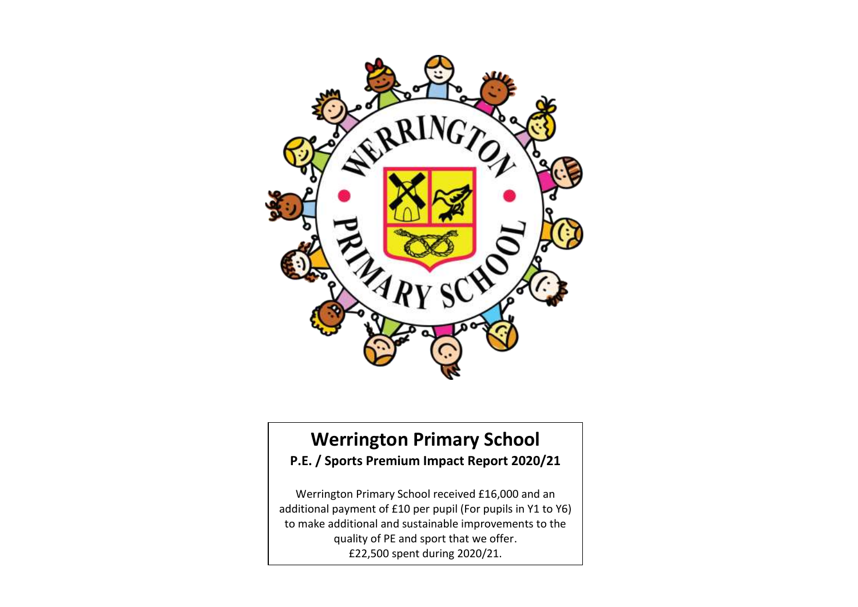

## **Werrington Primary School P.E. / Sports Premium Impact Report 2020/21**

Werrington Primary School received £16,000 and an additional payment of £10 per pupil (For pupils in Y1 to Y6) to make additional and sustainable improvements to the quality of PE and sport that we offer. £22,500 spent during 2020/21.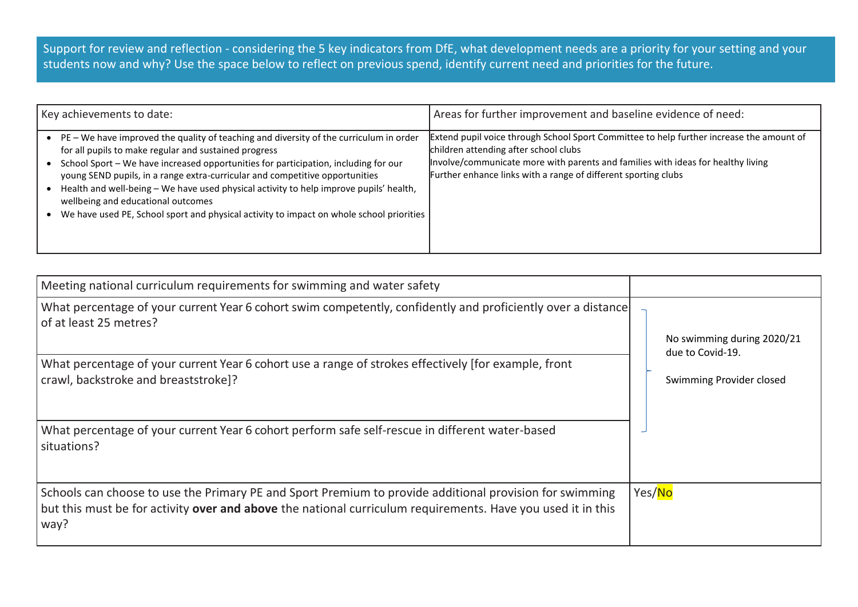Support for review and reflection - considering the 5 key indicators from DfE, what development needs are a priority for your setting and your students now and why? Use the space below to reflect on previous spend, identify current need and priorities for the future.

| Key achievements to date:                                                                                                                                                                                                                                                                                                                                                                                                                                                                                                                                       | Areas for further improvement and baseline evidence of need:                                                                                                                                                                                                                            |
|-----------------------------------------------------------------------------------------------------------------------------------------------------------------------------------------------------------------------------------------------------------------------------------------------------------------------------------------------------------------------------------------------------------------------------------------------------------------------------------------------------------------------------------------------------------------|-----------------------------------------------------------------------------------------------------------------------------------------------------------------------------------------------------------------------------------------------------------------------------------------|
| PE - We have improved the quality of teaching and diversity of the curriculum in order<br>$\bullet$<br>for all pupils to make regular and sustained progress<br>School Sport - We have increased opportunities for participation, including for our<br>young SEND pupils, in a range extra-curricular and competitive opportunities<br>Health and well-being - We have used physical activity to help improve pupils' health,<br>wellbeing and educational outcomes<br>We have used PE, School sport and physical activity to impact on whole school priorities | Extend pupil voice through School Sport Committee to help further increase the amount of<br>children attending after school clubs<br>Involve/communicate more with parents and families with ideas for healthy living<br>Further enhance links with a range of different sporting clubs |

| Meeting national curriculum requirements for swimming and water safety                                                                                                                                                                |                                              |  |
|---------------------------------------------------------------------------------------------------------------------------------------------------------------------------------------------------------------------------------------|----------------------------------------------|--|
| What percentage of your current Year 6 cohort swim competently, confidently and proficiently over a distance<br>of at least 25 metres?                                                                                                | No swimming during 2020/21                   |  |
| What percentage of your current Year 6 cohort use a range of strokes effectively [for example, front<br>crawl, backstroke and breaststroke]?                                                                                          | due to Covid-19.<br>Swimming Provider closed |  |
| What percentage of your current Year 6 cohort perform safe self-rescue in different water-based<br>situations?                                                                                                                        |                                              |  |
| Schools can choose to use the Primary PE and Sport Premium to provide additional provision for swimming<br>but this must be for activity <b>over and above</b> the national curriculum requirements. Have you used it in this<br>way? | Yes/No                                       |  |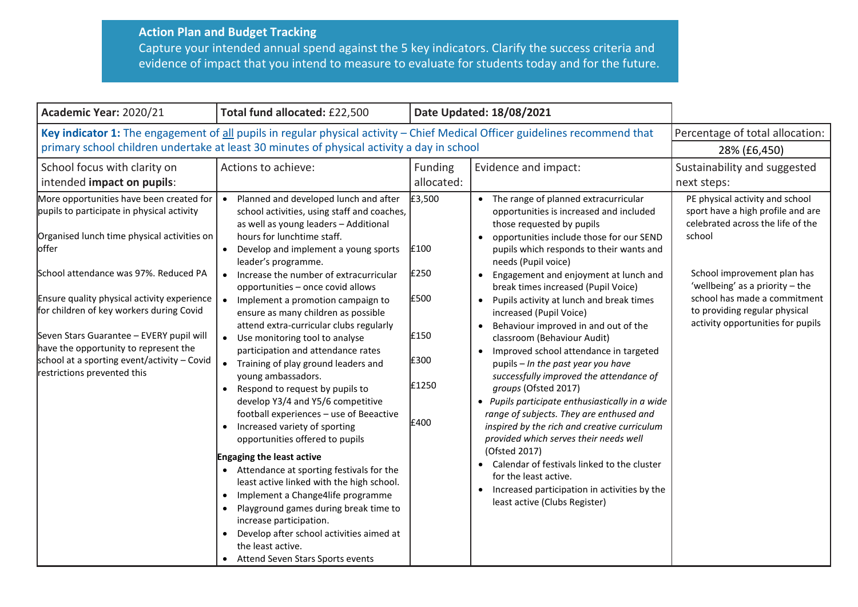## **Action Plan and Budget Tracking** Capture your intended annual spend against the 5 key indicators. Clarify the success criteria and evidence of impact that you intend to measure to evaluate for students today and for the future.

| Academic Year: 2020/21                                                                                                                                                                                                                                                                                                                                                                                                                                | Total fund allocated: £22,500                                                                                                                                                                                                                                                                                                                                                                                                                                                                                                                                                                                                                                                                                                                                                                                                                                                                                                                                                                                                                                                                                             |                                                                 | Date Updated: 18/08/2021                                                                                                                                                                                                                                                                                                                                                                                                                                                                                                                                                                                                                                                                                                                                                                                                                                                                                                                                                                           |                                                                                                                                                                                                                                                                                               |
|-------------------------------------------------------------------------------------------------------------------------------------------------------------------------------------------------------------------------------------------------------------------------------------------------------------------------------------------------------------------------------------------------------------------------------------------------------|---------------------------------------------------------------------------------------------------------------------------------------------------------------------------------------------------------------------------------------------------------------------------------------------------------------------------------------------------------------------------------------------------------------------------------------------------------------------------------------------------------------------------------------------------------------------------------------------------------------------------------------------------------------------------------------------------------------------------------------------------------------------------------------------------------------------------------------------------------------------------------------------------------------------------------------------------------------------------------------------------------------------------------------------------------------------------------------------------------------------------|-----------------------------------------------------------------|----------------------------------------------------------------------------------------------------------------------------------------------------------------------------------------------------------------------------------------------------------------------------------------------------------------------------------------------------------------------------------------------------------------------------------------------------------------------------------------------------------------------------------------------------------------------------------------------------------------------------------------------------------------------------------------------------------------------------------------------------------------------------------------------------------------------------------------------------------------------------------------------------------------------------------------------------------------------------------------------------|-----------------------------------------------------------------------------------------------------------------------------------------------------------------------------------------------------------------------------------------------------------------------------------------------|
| Key indicator 1: The engagement of all pupils in regular physical activity - Chief Medical Officer guidelines recommend that<br>primary school children undertake at least 30 minutes of physical activity a day in school                                                                                                                                                                                                                            |                                                                                                                                                                                                                                                                                                                                                                                                                                                                                                                                                                                                                                                                                                                                                                                                                                                                                                                                                                                                                                                                                                                           |                                                                 |                                                                                                                                                                                                                                                                                                                                                                                                                                                                                                                                                                                                                                                                                                                                                                                                                                                                                                                                                                                                    | Percentage of total allocation:<br>28% (£6,450)                                                                                                                                                                                                                                               |
| School focus with clarity on<br>intended impact on pupils:                                                                                                                                                                                                                                                                                                                                                                                            | Actions to achieve:                                                                                                                                                                                                                                                                                                                                                                                                                                                                                                                                                                                                                                                                                                                                                                                                                                                                                                                                                                                                                                                                                                       | Funding<br>allocated:                                           | Evidence and impact:                                                                                                                                                                                                                                                                                                                                                                                                                                                                                                                                                                                                                                                                                                                                                                                                                                                                                                                                                                               | Sustainability and suggested<br>next steps:                                                                                                                                                                                                                                                   |
| More opportunities have been created for<br>pupils to participate in physical activity<br>Organised lunch time physical activities on<br>offer<br>School attendance was 97%. Reduced PA<br>Ensure quality physical activity experience<br>for children of key workers during Covid<br>Seven Stars Guarantee - EVERY pupil will<br>have the opportunity to represent the<br>school at a sporting event/activity - Covid<br>restrictions prevented this | • Planned and developed lunch and after<br>school activities, using staff and coaches,<br>as well as young leaders - Additional<br>hours for lunchtime staff.<br>• Develop and implement a young sports<br>leader's programme.<br>• Increase the number of extracurricular<br>opportunities - once covid allows<br>• Implement a promotion campaign to<br>ensure as many children as possible<br>attend extra-curricular clubs regularly<br>• Use monitoring tool to analyse<br>participation and attendance rates<br>• Training of play ground leaders and<br>young ambassadors.<br>• Respond to request by pupils to<br>develop Y3/4 and Y5/6 competitive<br>football experiences - use of Beeactive<br>Increased variety of sporting<br>opportunities offered to pupils<br><b>Engaging the least active</b><br>• Attendance at sporting festivals for the<br>least active linked with the high school.<br>Implement a Change4life programme<br>Playground games during break time to<br>increase participation.<br>Develop after school activities aimed at<br>the least active.<br>• Attend Seven Stars Sports events | £3,500<br>£100<br>£250<br>£500<br>£150<br>£300<br>£1250<br>£400 | • The range of planned extracurricular<br>opportunities is increased and included<br>those requested by pupils<br>opportunities include those for our SEND<br>pupils which responds to their wants and<br>needs (Pupil voice)<br>Engagement and enjoyment at lunch and<br>$\bullet$<br>break times increased (Pupil Voice)<br>• Pupils activity at lunch and break times<br>increased (Pupil Voice)<br>Behaviour improved in and out of the<br>classroom (Behaviour Audit)<br>Improved school attendance in targeted<br>pupils - In the past year you have<br>successfully improved the attendance of<br>groups (Ofsted 2017)<br>• Pupils participate enthusiastically in a wide<br>range of subjects. They are enthused and<br>inspired by the rich and creative curriculum<br>provided which serves their needs well<br>(Ofsted 2017)<br>Calendar of festivals linked to the cluster<br>for the least active.<br>• Increased participation in activities by the<br>least active (Clubs Register) | PE physical activity and school<br>sport have a high profile and are<br>celebrated across the life of the<br>school<br>School improvement plan has<br>'wellbeing' as a priority $-$ the<br>school has made a commitment<br>to providing regular physical<br>activity opportunities for pupils |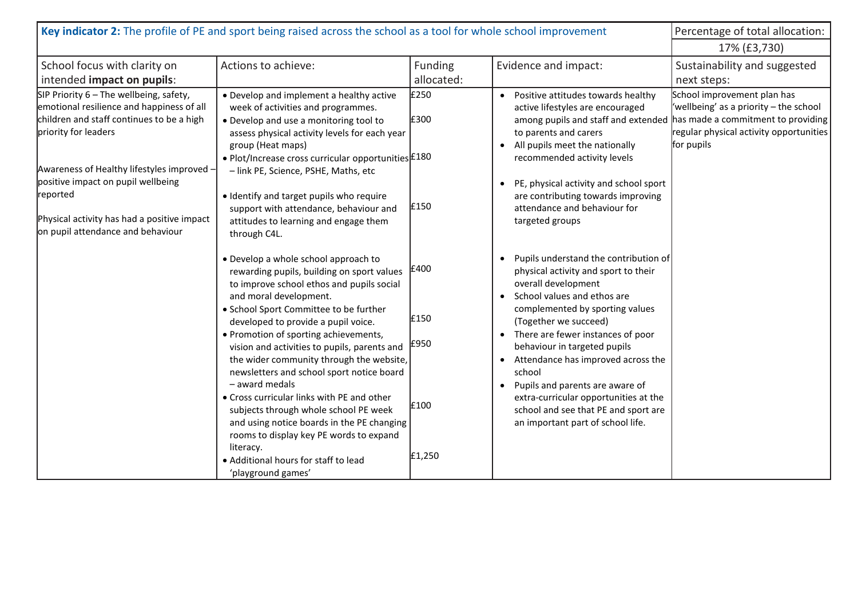| Key indicator 2: The profile of PE and sport being raised across the school as a tool for whole school improvement                                                                                                                                                                                                                              |                                                                                                                                                                                                                                                                                                                                                                                                                                                                                                                                                                                                                                                                                                           |                                        |                                                                                                                                                                                                                                                                                                                                                                                                                                                                                                                      | Percentage of total allocation:                                                                                                                                      |
|-------------------------------------------------------------------------------------------------------------------------------------------------------------------------------------------------------------------------------------------------------------------------------------------------------------------------------------------------|-----------------------------------------------------------------------------------------------------------------------------------------------------------------------------------------------------------------------------------------------------------------------------------------------------------------------------------------------------------------------------------------------------------------------------------------------------------------------------------------------------------------------------------------------------------------------------------------------------------------------------------------------------------------------------------------------------------|----------------------------------------|----------------------------------------------------------------------------------------------------------------------------------------------------------------------------------------------------------------------------------------------------------------------------------------------------------------------------------------------------------------------------------------------------------------------------------------------------------------------------------------------------------------------|----------------------------------------------------------------------------------------------------------------------------------------------------------------------|
|                                                                                                                                                                                                                                                                                                                                                 |                                                                                                                                                                                                                                                                                                                                                                                                                                                                                                                                                                                                                                                                                                           |                                        |                                                                                                                                                                                                                                                                                                                                                                                                                                                                                                                      | 17% (£3,730)                                                                                                                                                         |
| School focus with clarity on<br>intended impact on pupils:                                                                                                                                                                                                                                                                                      | Actions to achieve:                                                                                                                                                                                                                                                                                                                                                                                                                                                                                                                                                                                                                                                                                       | <b>Funding</b><br>allocated:           | Evidence and impact:                                                                                                                                                                                                                                                                                                                                                                                                                                                                                                 | Sustainability and suggested<br>next steps:                                                                                                                          |
| SIP Priority $6$ – The wellbeing, safety,<br>emotional resilience and happiness of all<br>children and staff continues to be a high<br>priority for leaders<br>Awareness of Healthy lifestyles improved -<br>positive impact on pupil wellbeing<br>reported<br>Physical activity has had a positive impact<br>on pupil attendance and behaviour | • Develop and implement a healthy active<br>week of activities and programmes.<br>• Develop and use a monitoring tool to<br>assess physical activity levels for each year<br>group (Heat maps)<br>• Plot/Increase cross curricular opportunities £180<br>- link PE, Science, PSHE, Maths, etc<br>· Identify and target pupils who require<br>support with attendance, behaviour and<br>attitudes to learning and engage them<br>through C4L.                                                                                                                                                                                                                                                              | £250<br>£300<br>£150                   | Positive attitudes towards healthy<br>active lifestyles are encouraged<br>among pupils and staff and extended<br>to parents and carers<br>All pupils meet the nationally<br>$\bullet$<br>recommended activity levels<br>PE, physical activity and school sport<br>$\bullet$<br>are contributing towards improving<br>attendance and behaviour for<br>targeted groups                                                                                                                                                 | School improvement plan has<br>'wellbeing' as a priority - the school<br>has made a commitment to providing<br>regular physical activity opportunities<br>for pupils |
|                                                                                                                                                                                                                                                                                                                                                 | • Develop a whole school approach to<br>rewarding pupils, building on sport values<br>to improve school ethos and pupils social<br>and moral development.<br>• School Sport Committee to be further<br>developed to provide a pupil voice.<br>• Promotion of sporting achievements,<br>vision and activities to pupils, parents and<br>the wider community through the website,<br>newsletters and school sport notice board<br>- award medals<br>• Cross curricular links with PE and other<br>subjects through whole school PE week<br>and using notice boards in the PE changing<br>rooms to display key PE words to expand<br>literacy.<br>• Additional hours for staff to lead<br>'playground games' | £400<br>£150<br>£950<br>£100<br>£1,250 | Pupils understand the contribution of<br>$\bullet$<br>physical activity and sport to their<br>overall development<br>School values and ethos are<br>$\bullet$<br>complemented by sporting values<br>(Together we succeed)<br>There are fewer instances of poor<br>behaviour in targeted pupils<br>Attendance has improved across the<br>$\bullet$<br>school<br>Pupils and parents are aware of<br>extra-curricular opportunities at the<br>school and see that PE and sport are<br>an important part of school life. |                                                                                                                                                                      |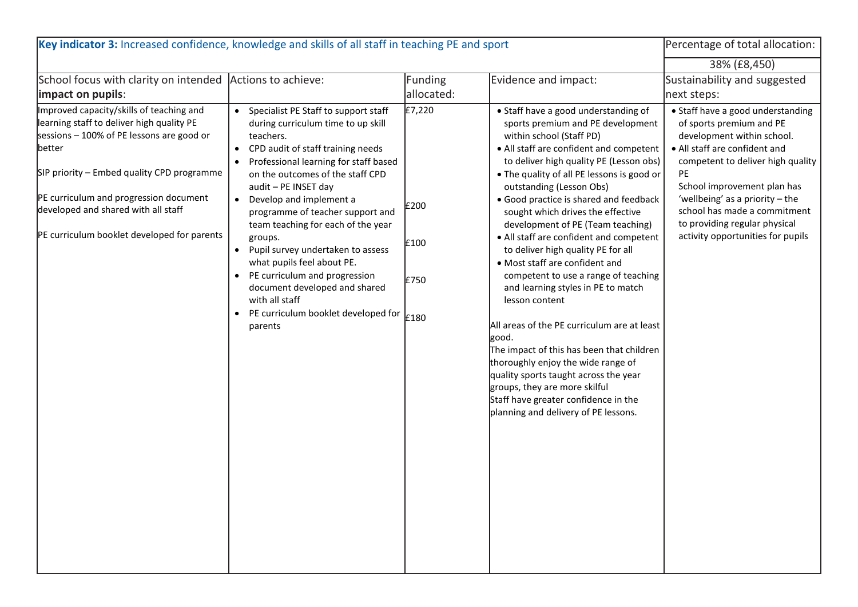| Key indicator 3: Increased confidence, knowledge and skills of all staff in teaching PE and sport                                                                                                                                                                                                                          | Percentage of total allocation:                                                                                                                                                                                                                                                                                                                                                                                                                                                                                                                                                                                                                         |                                |                                                                                                                                                                                                                                                                                                                                                                                                                                                                                                                                                                                                                                                                                                                                                                                                                                                                                                                   |                                                                                                                                                                                                                                                                                                                                                 |
|----------------------------------------------------------------------------------------------------------------------------------------------------------------------------------------------------------------------------------------------------------------------------------------------------------------------------|---------------------------------------------------------------------------------------------------------------------------------------------------------------------------------------------------------------------------------------------------------------------------------------------------------------------------------------------------------------------------------------------------------------------------------------------------------------------------------------------------------------------------------------------------------------------------------------------------------------------------------------------------------|--------------------------------|-------------------------------------------------------------------------------------------------------------------------------------------------------------------------------------------------------------------------------------------------------------------------------------------------------------------------------------------------------------------------------------------------------------------------------------------------------------------------------------------------------------------------------------------------------------------------------------------------------------------------------------------------------------------------------------------------------------------------------------------------------------------------------------------------------------------------------------------------------------------------------------------------------------------|-------------------------------------------------------------------------------------------------------------------------------------------------------------------------------------------------------------------------------------------------------------------------------------------------------------------------------------------------|
|                                                                                                                                                                                                                                                                                                                            |                                                                                                                                                                                                                                                                                                                                                                                                                                                                                                                                                                                                                                                         |                                |                                                                                                                                                                                                                                                                                                                                                                                                                                                                                                                                                                                                                                                                                                                                                                                                                                                                                                                   | 38% (£8,450)                                                                                                                                                                                                                                                                                                                                    |
| School focus with clarity on intended Actions to achieve:<br>impact on pupils:                                                                                                                                                                                                                                             |                                                                                                                                                                                                                                                                                                                                                                                                                                                                                                                                                                                                                                                         | <b>Funding</b><br>allocated:   | Evidence and impact:                                                                                                                                                                                                                                                                                                                                                                                                                                                                                                                                                                                                                                                                                                                                                                                                                                                                                              | Sustainability and suggested<br>next steps:                                                                                                                                                                                                                                                                                                     |
| Improved capacity/skills of teaching and<br>learning staff to deliver high quality PE<br>sessions - 100% of PE lessons are good or<br>better<br>SIP priority - Embed quality CPD programme<br>PE curriculum and progression document<br>developed and shared with all staff<br>PE curriculum booklet developed for parents | Specialist PE Staff to support staff<br>$\bullet$<br>during curriculum time to up skill<br>teachers.<br>CPD audit of staff training needs<br>$\bullet$<br>Professional learning for staff based<br>on the outcomes of the staff CPD<br>audit - PE INSET day<br>Develop and implement a<br>$\bullet$<br>programme of teacher support and<br>team teaching for each of the year<br>groups.<br>Pupil survey undertaken to assess<br>$\bullet$<br>what pupils feel about PE.<br>PE curriculum and progression<br>$\bullet$<br>document developed and shared<br>with all staff<br>PE curriculum booklet developed for $\vert_{E180}$<br>$\bullet$<br>parents | £7,220<br>£200<br>£100<br>£750 | • Staff have a good understanding of<br>sports premium and PE development<br>within school (Staff PD)<br>• All staff are confident and competent<br>to deliver high quality PE (Lesson obs)<br>. The quality of all PE lessons is good or<br>outstanding (Lesson Obs)<br>• Good practice is shared and feedback<br>sought which drives the effective<br>development of PE (Team teaching)<br>• All staff are confident and competent<br>to deliver high quality PE for all<br>• Most staff are confident and<br>competent to use a range of teaching<br>and learning styles in PE to match<br>lesson content<br>All areas of the PE curriculum are at least<br>good.<br>The impact of this has been that children<br>thoroughly enjoy the wide range of<br>quality sports taught across the year<br>groups, they are more skilful<br>Staff have greater confidence in the<br>planning and delivery of PE lessons. | • Staff have a good understanding<br>of sports premium and PE<br>development within school.<br>• All staff are confident and<br>competent to deliver high quality<br>PE<br>School improvement plan has<br>'wellbeing' as a priority - the<br>school has made a commitment<br>to providing regular physical<br>activity opportunities for pupils |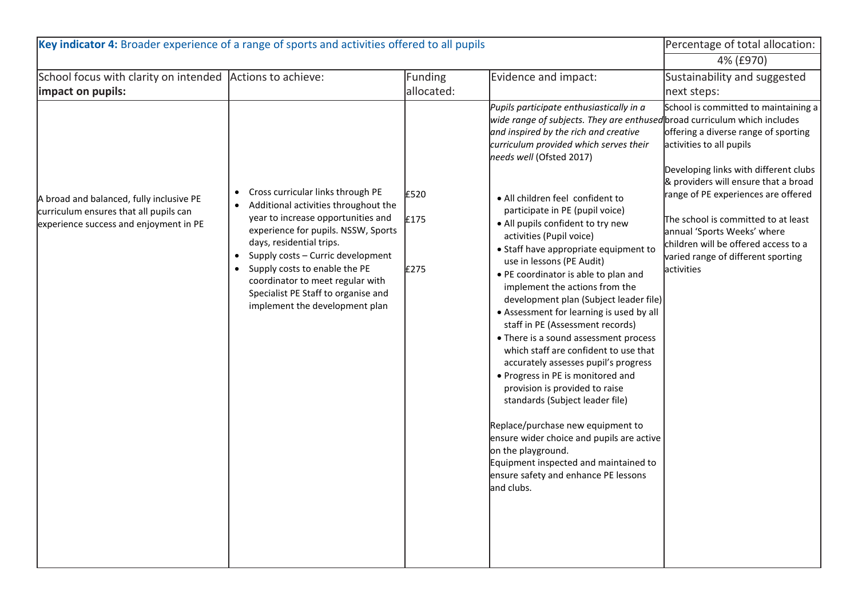| Key indicator 4: Broader experience of a range of sports and activities offered to all pupils                                |                                                                                                                                                                                                                                                                                                                                                                                                 |                      |                                                                                                                                                                                                                                                                                                                                                                                                                                                                                                                                                                                                                                                                                                                                                                                                                                                                                                                                                                                                                                                                                                   | Percentage of total allocation:                                                                                                                                                                                                                                                                                                                                                                    |
|------------------------------------------------------------------------------------------------------------------------------|-------------------------------------------------------------------------------------------------------------------------------------------------------------------------------------------------------------------------------------------------------------------------------------------------------------------------------------------------------------------------------------------------|----------------------|---------------------------------------------------------------------------------------------------------------------------------------------------------------------------------------------------------------------------------------------------------------------------------------------------------------------------------------------------------------------------------------------------------------------------------------------------------------------------------------------------------------------------------------------------------------------------------------------------------------------------------------------------------------------------------------------------------------------------------------------------------------------------------------------------------------------------------------------------------------------------------------------------------------------------------------------------------------------------------------------------------------------------------------------------------------------------------------------------|----------------------------------------------------------------------------------------------------------------------------------------------------------------------------------------------------------------------------------------------------------------------------------------------------------------------------------------------------------------------------------------------------|
|                                                                                                                              |                                                                                                                                                                                                                                                                                                                                                                                                 |                      |                                                                                                                                                                                                                                                                                                                                                                                                                                                                                                                                                                                                                                                                                                                                                                                                                                                                                                                                                                                                                                                                                                   | 4% (£970)                                                                                                                                                                                                                                                                                                                                                                                          |
| School focus with clarity on intended Actions to achieve:                                                                    |                                                                                                                                                                                                                                                                                                                                                                                                 | Funding              | Evidence and impact:                                                                                                                                                                                                                                                                                                                                                                                                                                                                                                                                                                                                                                                                                                                                                                                                                                                                                                                                                                                                                                                                              | Sustainability and suggested                                                                                                                                                                                                                                                                                                                                                                       |
| impact on pupils:                                                                                                            |                                                                                                                                                                                                                                                                                                                                                                                                 | allocated:           |                                                                                                                                                                                                                                                                                                                                                                                                                                                                                                                                                                                                                                                                                                                                                                                                                                                                                                                                                                                                                                                                                                   | next steps:                                                                                                                                                                                                                                                                                                                                                                                        |
| A broad and balanced, fully inclusive PE<br>curriculum ensures that all pupils can<br>experience success and enjoyment in PE | Cross curricular links through PE<br>$\bullet$<br>Additional activities throughout the<br>$\bullet$<br>year to increase opportunities and<br>experience for pupils. NSSW, Sports<br>days, residential trips.<br>Supply costs - Curric development<br>Supply costs to enable the PE<br>coordinator to meet regular with<br>Specialist PE Staff to organise and<br>implement the development plan | £520<br>£175<br>£275 | Pupils participate enthusiastically in a<br>wide range of subjects. They are enthused broad curriculum which includes<br>and inspired by the rich and creative<br>curriculum provided which serves their<br>needs well (Ofsted 2017)<br>• All children feel confident to<br>participate in PE (pupil voice)<br>• All pupils confident to try new<br>activities (Pupil voice)<br>• Staff have appropriate equipment to<br>use in lessons (PE Audit)<br>• PE coordinator is able to plan and<br>implement the actions from the<br>development plan (Subject leader file)<br>• Assessment for learning is used by all<br>staff in PE (Assessment records)<br>• There is a sound assessment process<br>which staff are confident to use that<br>accurately assesses pupil's progress<br>• Progress in PE is monitored and<br>provision is provided to raise<br>standards (Subject leader file)<br>Replace/purchase new equipment to<br>ensure wider choice and pupils are active<br>on the playground.<br>Equipment inspected and maintained to<br>ensure safety and enhance PE lessons<br>and clubs. | School is committed to maintaining a<br>offering a diverse range of sporting<br>activities to all pupils<br>Developing links with different clubs<br>& providers will ensure that a broad<br>range of PE experiences are offered<br>The school is committed to at least<br>annual 'Sports Weeks' where<br>children will be offered access to a<br>varied range of different sporting<br>activities |